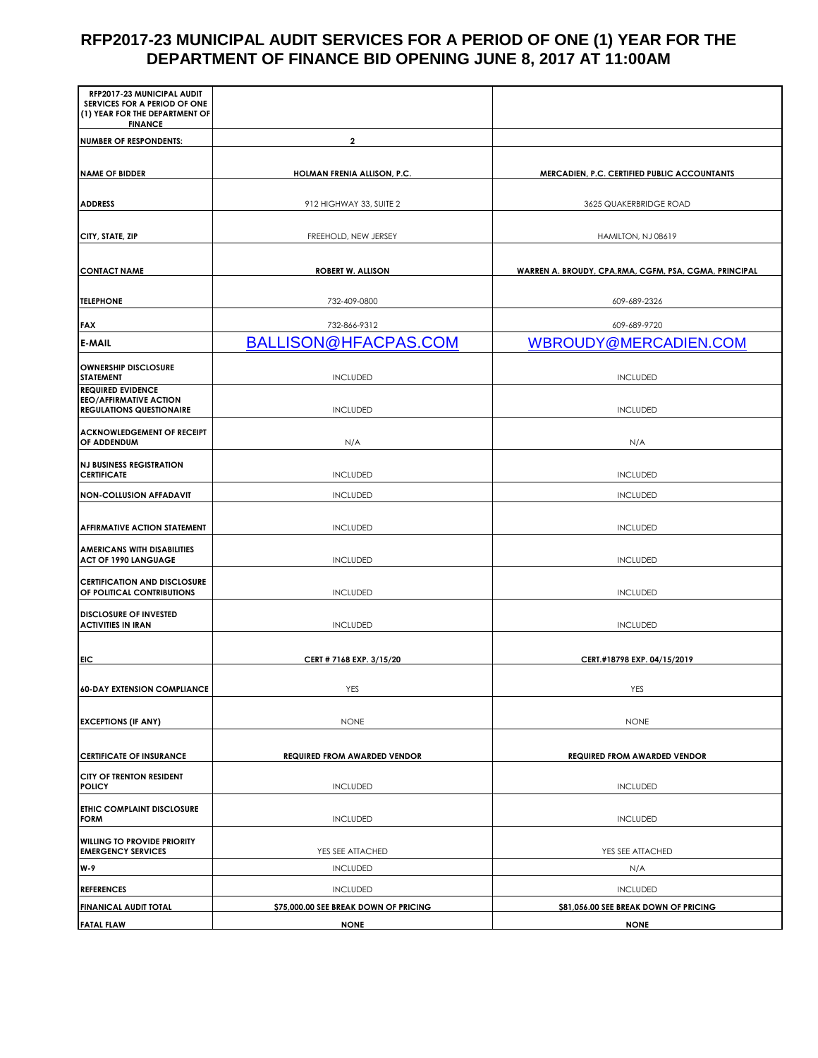## **RFP2017-23 MUNICIPAL AUDIT SERVICES FOR A PERIOD OF ONE (1) YEAR FOR THE DEPARTMENT OF FINANCE BID OPENING JUNE 8, 2017 AT 11:00AM**

| RFP2017-23 MUNICIPAL AUDIT<br>SERVICES FOR A PERIOD OF ONE<br>(1) YEAR FOR THE DEPARTMENT OF<br><b>FINANCE</b> |                                       |                                                        |
|----------------------------------------------------------------------------------------------------------------|---------------------------------------|--------------------------------------------------------|
| <b>NUMBER OF RESPONDENTS:</b>                                                                                  | $\mathbf{2}$                          |                                                        |
|                                                                                                                |                                       |                                                        |
| <b>NAME OF BIDDER</b>                                                                                          | HOLMAN FRENIA ALLISON, P.C.           | <b>MERCADIEN, P.C. CERTIFIED PUBLIC ACCOUNTANTS</b>    |
| <b>ADDRESS</b>                                                                                                 | 912 HIGHWAY 33, SUITE 2               | 3625 QUAKERBRIDGE ROAD                                 |
| CITY, STATE, ZIP                                                                                               | FREEHOLD, NEW JERSEY                  | HAMILTON, NJ 08619                                     |
| <b>CONTACT NAME</b>                                                                                            | <b>ROBERT W. ALLISON</b>              | WARREN A. BROUDY, CPA, RMA, CGFM, PSA, CGMA, PRINCIPAL |
| <b>TELEPHONE</b>                                                                                               | 732-409-0800                          |                                                        |
|                                                                                                                |                                       | 609-689-2326                                           |
| <b>FAX</b>                                                                                                     | 732-866-9312                          | 609-689-9720                                           |
| <b>E-MAIL</b>                                                                                                  | BALLISON@HFACPAS.COM                  | WBROUDY@MERCADIEN.COM                                  |
| <b>OWNERSHIP DISCLOSURE</b><br><b>STATEMENT</b>                                                                | <b>INCLUDED</b>                       | <b>INCLUDED</b>                                        |
| <b>REQUIRED EVIDENCE</b><br><b>EEO/AFFIRMATIVE ACTION</b><br><b>REGULATIONS QUESTIONAIRE</b>                   | <b>INCLUDED</b>                       | <b>INCLUDED</b>                                        |
| <b>ACKNOWLEDGEMENT OF RECEIPT</b><br>OF ADDENDUM                                                               | N/A                                   | N/A                                                    |
| <b>NJ BUSINESS REGISTRATION</b><br><b>CERTIFICATE</b>                                                          | <b>INCLUDED</b>                       | <b>INCLUDED</b>                                        |
| <b>NON-COLLUSION AFFADAVIT</b>                                                                                 | <b>INCLUDED</b>                       | <b>INCLUDED</b>                                        |
| <b>AFFIRMATIVE ACTION STATEMENT</b>                                                                            | <b>INCLUDED</b>                       | <b>INCLUDED</b>                                        |
| <b>AMERICANS WITH DISABILITIES</b><br><b>ACT OF 1990 LANGUAGE</b>                                              | <b>INCLUDED</b>                       | <b>INCLUDED</b>                                        |
| <b>CERTIFICATION AND DISCLOSURE</b><br>OF POLITICAL CONTRIBUTIONS                                              | <b>INCLUDED</b>                       | <b>INCLUDED</b>                                        |
| <b>DISCLOSURE OF INVESTED</b><br><b>ACTIVITIES IN IRAN</b>                                                     | <b>INCLUDED</b>                       | <b>INCLUDED</b>                                        |
| EIC                                                                                                            | CERT # 7168 EXP. 3/15/20              | CERT.#18798 EXP. 04/15/2019                            |
|                                                                                                                |                                       |                                                        |
| <b>60-DAY EXTENSION COMPLIANCE</b>                                                                             | YES                                   | YES                                                    |
| <b>EXCEPTIONS (IF ANY)</b>                                                                                     | <b>NONE</b>                           | <b>NONE</b>                                            |
| <b>CERTIFICATE OF INSURANCE</b>                                                                                | <b>REQUIRED FROM AWARDED VENDOR</b>   | <b>REQUIRED FROM AWARDED VENDOR</b>                    |
| <b>CITY OF TRENTON RESIDENT</b><br><b>POLICY</b>                                                               | <b>INCLUDED</b>                       | <b>INCLUDED</b>                                        |
| <b>ETHIC COMPLAINT DISCLOSURE</b><br><b>FORM</b>                                                               | <b>INCLUDED</b>                       | <b>INCLUDED</b>                                        |
| <b>WILLING TO PROVIDE PRIORITY</b><br><b>EMERGENCY SERVICES</b>                                                | YES SEE ATTACHED                      | YES SEE ATTACHED                                       |
| <b>W-9</b>                                                                                                     | <b>INCLUDED</b>                       | N/A                                                    |
| <b>REFERENCES</b>                                                                                              | <b>INCLUDED</b>                       | <b>INCLUDED</b>                                        |
| <b>FINANICAL AUDIT TOTAL</b>                                                                                   | \$75,000.00 SEE BREAK DOWN OF PRICING | \$81,056.00 SEE BREAK DOWN OF PRICING                  |
| <b>FATAL FLAW</b>                                                                                              | <b>NONE</b>                           | <b>NONE</b>                                            |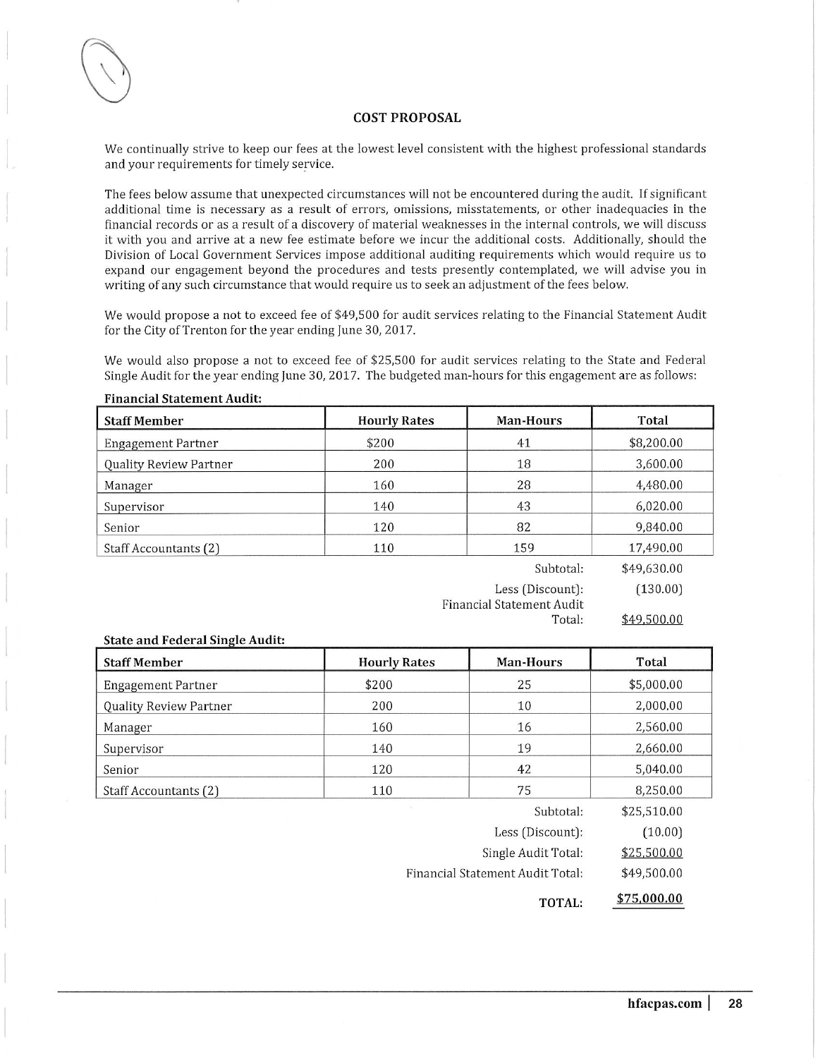#### **COST PROPOSAL**

We continually strive to keep our fees at the lowest level consistent with the highest professional standards and your requirements for timely service.

The fees below assume that unexpected circumstances will not be encountered during the audit. If significant additional time is necessary as a result of errors, omissions, misstatements, or other inadequacies in the financial records or as a result of a discovery of material weaknesses in the internal controls, we will discuss it with you and arrive at a new fee estimate before we incur the additional costs. Additionally, should the Division of Local Government Services impose additional auditing requirements which would require us to expand our engagement beyond the procedures and tests presently contemplated, we will advise you in writing of any such circumstance that would require us to seek an adjustment of the fees below.

We would propose a not to exceed fee of \$49,500 for audit services relating to the Financial Statement Audit for the City of Trenton for the year ending June 30, 2017.

We would also propose a not to exceed fee of \$25,500 for audit services relating to the State and Federal Single Audit for the year ending June 30, 2017. The budgeted man-hours for this engagement are as follows:

| <b>Financial Statement Audit:</b> |                     |                  |             |
|-----------------------------------|---------------------|------------------|-------------|
| <b>Staff Member</b>               | <b>Hourly Rates</b> | <b>Man-Hours</b> | Total       |
| <b>Engagement Partner</b>         | \$200               | 41               | \$8,200.00  |
| Quality Review Partner            | 200                 | 18               | 3,600.00    |
| Manager                           | 160                 | 28               | 4,480.00    |
| Supervisor                        | 140                 | 43               | 6,020.00    |
| Senior                            | 120                 | 82               | 9,840.00    |
| Staff Accountants (2)             | 110                 | 159              | 17,490.00   |
|                                   |                     | Subtotal:        | \$49,630.00 |

Less (Discount):  $(130.00)$ **Financial Statement Audit** Total:

\$49,500.00

| <b>State and Federal Single Audit:</b> |                     |                                  |             |  |  |  |  |  |
|----------------------------------------|---------------------|----------------------------------|-------------|--|--|--|--|--|
| <b>Staff Member</b>                    | <b>Hourly Rates</b> | <b>Man-Hours</b>                 | Total       |  |  |  |  |  |
| <b>Engagement Partner</b>              | \$200               | 25                               | \$5,000.00  |  |  |  |  |  |
| Quality Review Partner                 | 200                 | 10                               | 2,000.00    |  |  |  |  |  |
| Manager                                | 160                 | 16                               | 2,560.00    |  |  |  |  |  |
| Supervisor                             | 140                 | 19                               | 2,660.00    |  |  |  |  |  |
| Senior                                 | 120                 | 42                               | 5,040.00    |  |  |  |  |  |
| Staff Accountants (2)                  | 110                 | 75                               | 8,250,00    |  |  |  |  |  |
|                                        |                     | Subtotal:                        | \$25,510.00 |  |  |  |  |  |
|                                        |                     | Less (Discount):                 | (10.00)     |  |  |  |  |  |
|                                        |                     | Single Audit Total:              | \$25,500.00 |  |  |  |  |  |
|                                        |                     | Financial Statement Audit Total: | \$49,500.00 |  |  |  |  |  |

\$75,000.00 TOTAL: